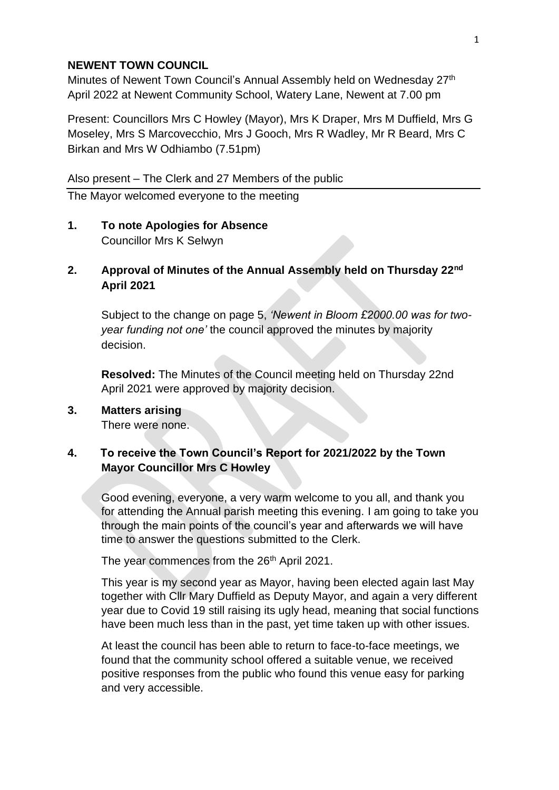#### **NEWENT TOWN COUNCIL**

Minutes of Newent Town Council's Annual Assembly held on Wednesday 27<sup>th</sup> April 2022 at Newent Community School, Watery Lane, Newent at 7.00 pm

Present: Councillors Mrs C Howley (Mayor), Mrs K Draper, Mrs M Duffield, Mrs G Moseley, Mrs S Marcovecchio, Mrs J Gooch, Mrs R Wadley, Mr R Beard, Mrs C Birkan and Mrs W Odhiambo (7.51pm)

Also present – The Clerk and 27 Members of the public

The Mayor welcomed everyone to the meeting

# **1. To note Apologies for Absence**

Councillor Mrs K Selwyn

# **2. Approval of Minutes of the Annual Assembly held on Thursday 22nd April 2021**

Subject to the change on page 5, *'Newent in Bloom £2000.00 was for twoyear funding not one'* the council approved the minutes by majority decision.

**Resolved:** The Minutes of the Council meeting held on Thursday 22nd April 2021 were approved by majority decision.

# **3. Matters arising**

There were none.

# **4. To receive the Town Council's Report for 2021/2022 by the Town Mayor Councillor Mrs C Howley**

Good evening, everyone, a very warm welcome to you all, and thank you for attending the Annual parish meeting this evening. I am going to take you through the main points of the council's year and afterwards we will have time to answer the questions submitted to the Clerk.

The year commences from the 26<sup>th</sup> April 2021.

This year is my second year as Mayor, having been elected again last May together with Cllr Mary Duffield as Deputy Mayor, and again a very different year due to Covid 19 still raising its ugly head, meaning that social functions have been much less than in the past, yet time taken up with other issues.

At least the council has been able to return to face-to-face meetings, we found that the community school offered a suitable venue, we received positive responses from the public who found this venue easy for parking and very accessible.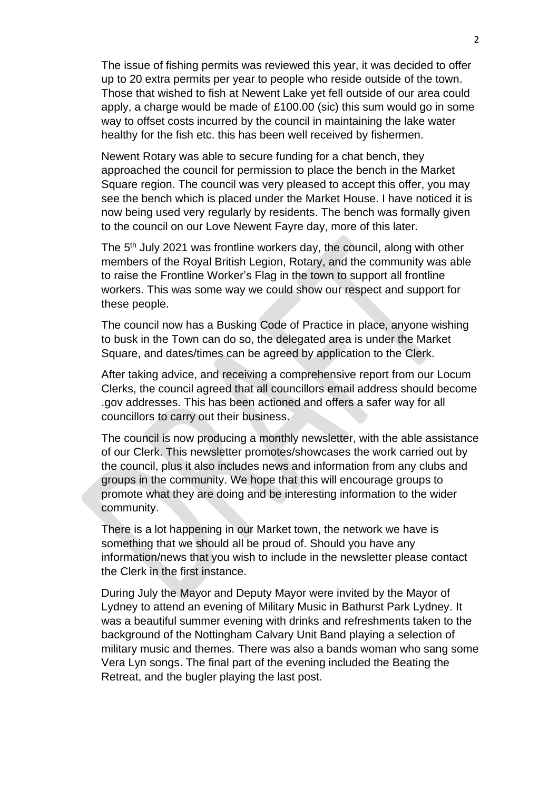The issue of fishing permits was reviewed this year, it was decided to offer up to 20 extra permits per year to people who reside outside of the town. Those that wished to fish at Newent Lake yet fell outside of our area could apply, a charge would be made of £100.00 (sic) this sum would go in some way to offset costs incurred by the council in maintaining the lake water healthy for the fish etc. this has been well received by fishermen.

Newent Rotary was able to secure funding for a chat bench, they approached the council for permission to place the bench in the Market Square region. The council was very pleased to accept this offer, you may see the bench which is placed under the Market House. I have noticed it is now being used very regularly by residents. The bench was formally given to the council on our Love Newent Fayre day, more of this later.

The 5<sup>th</sup> July 2021 was frontline workers day, the council, along with other members of the Royal British Legion, Rotary, and the community was able to raise the Frontline Worker's Flag in the town to support all frontline workers. This was some way we could show our respect and support for these people.

The council now has a Busking Code of Practice in place, anyone wishing to busk in the Town can do so, the delegated area is under the Market Square, and dates/times can be agreed by application to the Clerk.

After taking advice, and receiving a comprehensive report from our Locum Clerks, the council agreed that all councillors email address should become .gov addresses. This has been actioned and offers a safer way for all councillors to carry out their business.

The council is now producing a monthly newsletter, with the able assistance of our Clerk. This newsletter promotes/showcases the work carried out by the council, plus it also includes news and information from any clubs and groups in the community. We hope that this will encourage groups to promote what they are doing and be interesting information to the wider community.

There is a lot happening in our Market town, the network we have is something that we should all be proud of. Should you have any information/news that you wish to include in the newsletter please contact the Clerk in the first instance.

During July the Mayor and Deputy Mayor were invited by the Mayor of Lydney to attend an evening of Military Music in Bathurst Park Lydney. It was a beautiful summer evening with drinks and refreshments taken to the background of the Nottingham Calvary Unit Band playing a selection of military music and themes. There was also a bands woman who sang some Vera Lyn songs. The final part of the evening included the Beating the Retreat, and the bugler playing the last post.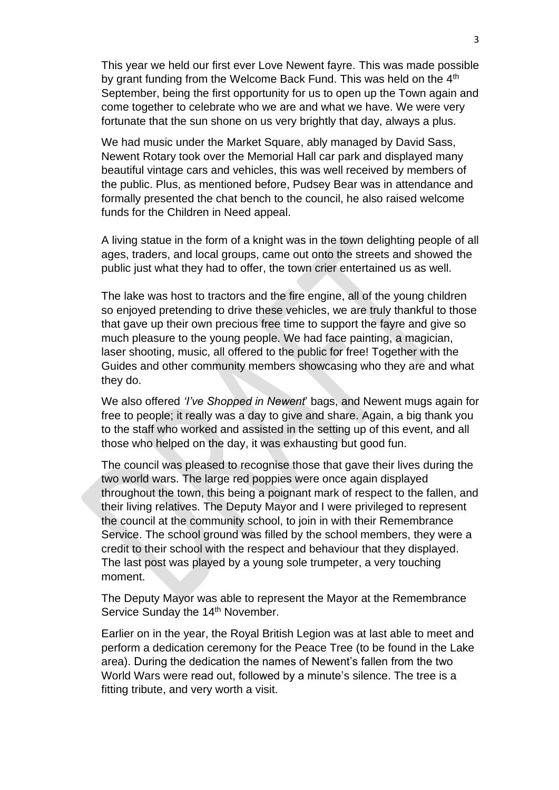This year we held our first ever Love Newent fayre. This was made possible by grant funding from the Welcome Back Fund. This was held on the  $4<sup>th</sup>$ September, being the first opportunity for us to open up the Town again and come together to celebrate who we are and what we have. We were very fortunate that the sun shone on us very brightly that day, always a plus.

We had music under the Market Square, ably managed by David Sass, Newent Rotary took over the Memorial Hall car park and displayed many beautiful vintage cars and vehicles, this was well received by members of the public. Plus, as mentioned before, Pudsey Bear was in attendance and formally presented the chat bench to the council, he also raised welcome funds for the Children in Need appeal.

A living statue in the form of a knight was in the town delighting people of all ages, traders, and local groups, came out onto the streets and showed the public just what they had to offer, the town crier entertained us as well.

The lake was host to tractors and the fire engine, all of the young children so enjoyed pretending to drive these vehicles, we are truly thankful to those that gave up their own precious free time to support the fayre and give so much pleasure to the young people. We had face painting, a magician, laser shooting, music, all offered to the public for free! Together with the Guides and other community members showcasing who they are and what they do.

We also offered *'I've Shopped in Newent*' bags, and Newent mugs again for free to people; it really was a day to give and share. Again, a big thank you to the staff who worked and assisted in the setting up of this event, and all those who helped on the day, it was exhausting but good fun.

The council was pleased to recognise those that gave their lives during the two world wars. The large red poppies were once again displayed throughout the town, this being a poignant mark of respect to the fallen, and their living relatives. The Deputy Mayor and I were privileged to represent the council at the community school, to join in with their Remembrance Service. The school ground was filled by the school members, they were a credit to their school with the respect and behaviour that they displayed. The last post was played by a young sole trumpeter, a very touching moment.

The Deputy Mayor was able to represent the Mayor at the Remembrance Service Sunday the 14<sup>th</sup> November.

Earlier on in the year, the Royal British Legion was at last able to meet and perform a dedication ceremony for the Peace Tree (to be found in the Lake area). During the dedication the names of Newent's fallen from the two World Wars were read out, followed by a minute's silence. The tree is a fitting tribute, and very worth a visit.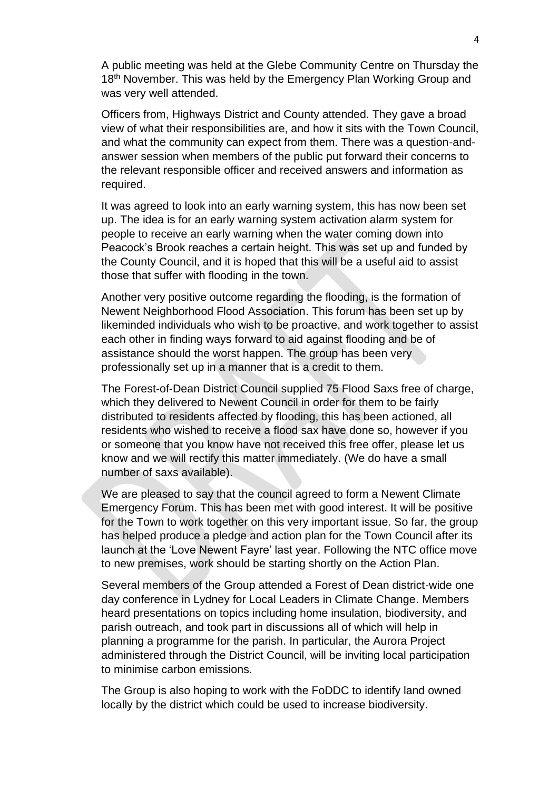A public meeting was held at the Glebe Community Centre on Thursday the 18<sup>th</sup> November. This was held by the Emergency Plan Working Group and was very well attended.

Officers from, Highways District and County attended. They gave a broad view of what their responsibilities are, and how it sits with the Town Council, and what the community can expect from them. There was a question-andanswer session when members of the public put forward their concerns to the relevant responsible officer and received answers and information as required.

It was agreed to look into an early warning system, this has now been set up. The idea is for an early warning system activation alarm system for people to receive an early warning when the water coming down into Peacock's Brook reaches a certain height. This was set up and funded by the County Council, and it is hoped that this will be a useful aid to assist those that suffer with flooding in the town.

Another very positive outcome regarding the flooding, is the formation of Newent Neighborhood Flood Association. This forum has been set up by likeminded individuals who wish to be proactive, and work together to assist each other in finding ways forward to aid against flooding and be of assistance should the worst happen. The group has been very professionally set up in a manner that is a credit to them.

The Forest-of-Dean District Council supplied 75 Flood Saxs free of charge, which they delivered to Newent Council in order for them to be fairly distributed to residents affected by flooding, this has been actioned, all residents who wished to receive a flood sax have done so, however if you or someone that you know have not received this free offer, please let us know and we will rectify this matter immediately. (We do have a small number of saxs available).

We are pleased to say that the council agreed to form a Newent Climate Emergency Forum. This has been met with good interest. It will be positive for the Town to work together on this very important issue. So far, the group has helped produce a pledge and action plan for the Town Council after its launch at the 'Love Newent Fayre' last year. Following the NTC office move to new premises, work should be starting shortly on the Action Plan.

Several members of the Group attended a Forest of Dean district-wide one day conference in Lydney for Local Leaders in Climate Change. Members heard presentations on topics including home insulation, biodiversity, and parish outreach, and took part in discussions all of which will help in planning a programme for the parish. In particular, the Aurora Project administered through the District Council, will be inviting local participation to minimise carbon emissions.

The Group is also hoping to work with the FoDDC to identify land owned locally by the district which could be used to increase biodiversity.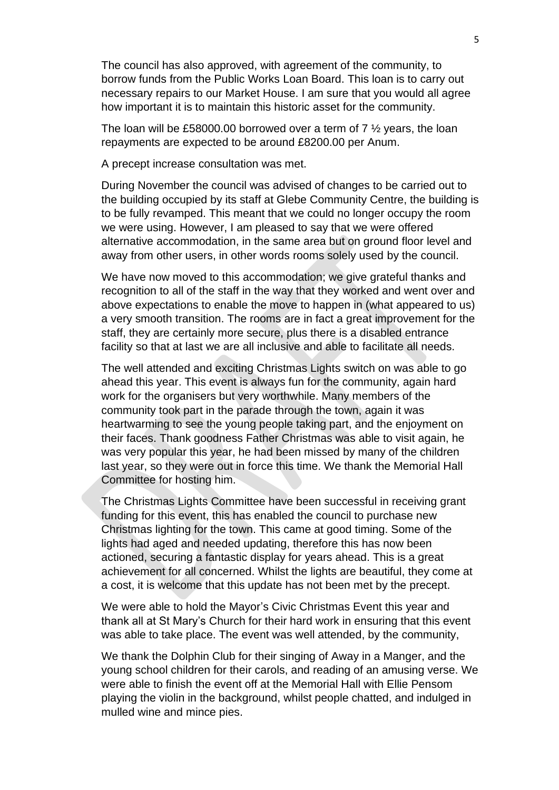The council has also approved, with agreement of the community, to borrow funds from the Public Works Loan Board. This loan is to carry out necessary repairs to our Market House. I am sure that you would all agree how important it is to maintain this historic asset for the community.

The loan will be £58000.00 borrowed over a term of  $7\frac{1}{2}$  years, the loan repayments are expected to be around £8200.00 per Anum.

A precept increase consultation was met.

During November the council was advised of changes to be carried out to the building occupied by its staff at Glebe Community Centre, the building is to be fully revamped. This meant that we could no longer occupy the room we were using. However, I am pleased to say that we were offered alternative accommodation, in the same area but on ground floor level and away from other users, in other words rooms solely used by the council.

We have now moved to this accommodation; we give grateful thanks and recognition to all of the staff in the way that they worked and went over and above expectations to enable the move to happen in (what appeared to us) a very smooth transition. The rooms are in fact a great improvement for the staff, they are certainly more secure, plus there is a disabled entrance facility so that at last we are all inclusive and able to facilitate all needs.

The well attended and exciting Christmas Lights switch on was able to go ahead this year. This event is always fun for the community, again hard work for the organisers but very worthwhile. Many members of the community took part in the parade through the town, again it was heartwarming to see the young people taking part, and the enjoyment on their faces. Thank goodness Father Christmas was able to visit again, he was very popular this year, he had been missed by many of the children last year, so they were out in force this time. We thank the Memorial Hall Committee for hosting him.

The Christmas Lights Committee have been successful in receiving grant funding for this event, this has enabled the council to purchase new Christmas lighting for the town. This came at good timing. Some of the lights had aged and needed updating, therefore this has now been actioned, securing a fantastic display for years ahead. This is a great achievement for all concerned. Whilst the lights are beautiful, they come at a cost, it is welcome that this update has not been met by the precept.

We were able to hold the Mayor's Civic Christmas Event this year and thank all at St Mary's Church for their hard work in ensuring that this event was able to take place. The event was well attended, by the community,

We thank the Dolphin Club for their singing of Away in a Manger, and the young school children for their carols, and reading of an amusing verse. We were able to finish the event off at the Memorial Hall with Ellie Pensom playing the violin in the background, whilst people chatted, and indulged in mulled wine and mince pies.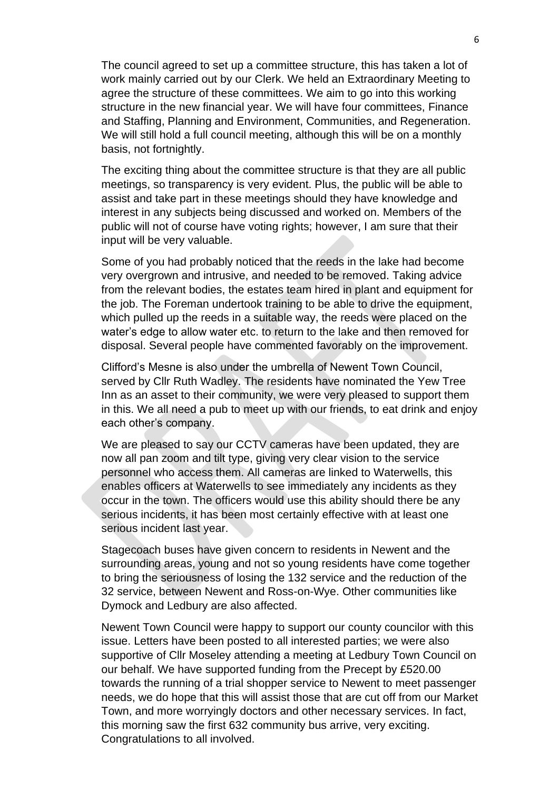The council agreed to set up a committee structure, this has taken a lot of work mainly carried out by our Clerk. We held an Extraordinary Meeting to agree the structure of these committees. We aim to go into this working structure in the new financial year. We will have four committees, Finance and Staffing, Planning and Environment, Communities, and Regeneration. We will still hold a full council meeting, although this will be on a monthly basis, not fortnightly.

The exciting thing about the committee structure is that they are all public meetings, so transparency is very evident. Plus, the public will be able to assist and take part in these meetings should they have knowledge and interest in any subjects being discussed and worked on. Members of the public will not of course have voting rights; however, I am sure that their input will be very valuable.

Some of you had probably noticed that the reeds in the lake had become very overgrown and intrusive, and needed to be removed. Taking advice from the relevant bodies, the estates team hired in plant and equipment for the job. The Foreman undertook training to be able to drive the equipment, which pulled up the reeds in a suitable way, the reeds were placed on the water's edge to allow water etc. to return to the lake and then removed for disposal. Several people have commented favorably on the improvement.

Clifford's Mesne is also under the umbrella of Newent Town Council, served by Cllr Ruth Wadley. The residents have nominated the Yew Tree Inn as an asset to their community, we were very pleased to support them in this. We all need a pub to meet up with our friends, to eat drink and enjoy each other's company.

We are pleased to say our CCTV cameras have been updated, they are now all pan zoom and tilt type, giving very clear vision to the service personnel who access them. All cameras are linked to Waterwells, this enables officers at Waterwells to see immediately any incidents as they occur in the town. The officers would use this ability should there be any serious incidents, it has been most certainly effective with at least one serious incident last year.

Stagecoach buses have given concern to residents in Newent and the surrounding areas, young and not so young residents have come together to bring the seriousness of losing the 132 service and the reduction of the 32 service, between Newent and Ross-on-Wye. Other communities like Dymock and Ledbury are also affected.

Newent Town Council were happy to support our county councilor with this issue. Letters have been posted to all interested parties; we were also supportive of Cllr Moseley attending a meeting at Ledbury Town Council on our behalf. We have supported funding from the Precept by £520.00 towards the running of a trial shopper service to Newent to meet passenger needs, we do hope that this will assist those that are cut off from our Market Town, and more worryingly doctors and other necessary services. In fact, this morning saw the first 632 community bus arrive, very exciting. Congratulations to all involved.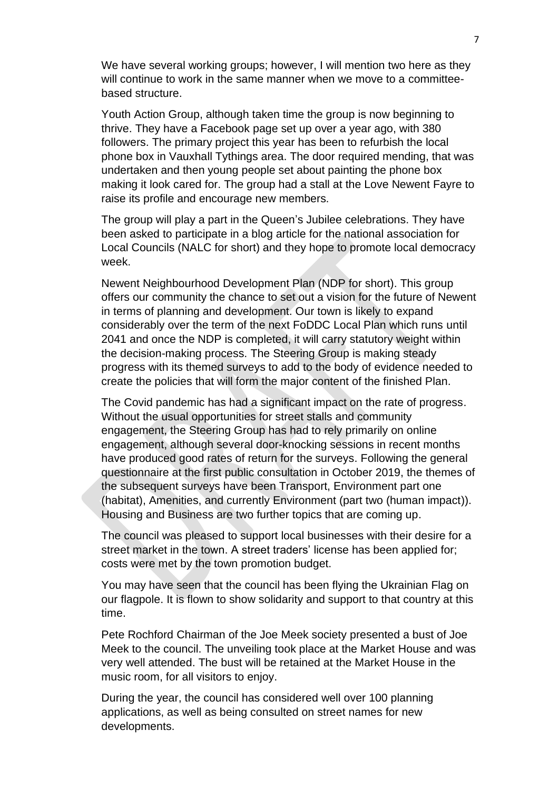We have several working groups; however, I will mention two here as they will continue to work in the same manner when we move to a committeebased structure.

Youth Action Group, although taken time the group is now beginning to thrive. They have a Facebook page set up over a year ago, with 380 followers. The primary project this year has been to refurbish the local phone box in Vauxhall Tythings area. The door required mending, that was undertaken and then young people set about painting the phone box making it look cared for. The group had a stall at the Love Newent Fayre to raise its profile and encourage new members.

The group will play a part in the Queen's Jubilee celebrations. They have been asked to participate in a blog article for the national association for Local Councils (NALC for short) and they hope to promote local democracy week.

Newent Neighbourhood Development Plan (NDP for short). This group offers our community the chance to set out a vision for the future of Newent in terms of planning and development. Our town is likely to expand considerably over the term of the next FoDDC Local Plan which runs until 2041 and once the NDP is completed, it will carry statutory weight within the decision-making process. The Steering Group is making steady progress with its themed surveys to add to the body of evidence needed to create the policies that will form the major content of the finished Plan.

The Covid pandemic has had a significant impact on the rate of progress. Without the usual opportunities for street stalls and community engagement, the Steering Group has had to rely primarily on online engagement, although several door-knocking sessions in recent months have produced good rates of return for the surveys. Following the general questionnaire at the first public consultation in October 2019, the themes of the subsequent surveys have been Transport, Environment part one (habitat), Amenities, and currently Environment (part two (human impact)). Housing and Business are two further topics that are coming up.

The council was pleased to support local businesses with their desire for a street market in the town. A street traders' license has been applied for; costs were met by the town promotion budget.

You may have seen that the council has been flying the Ukrainian Flag on our flagpole. It is flown to show solidarity and support to that country at this time.

Pete Rochford Chairman of the Joe Meek society presented a bust of Joe Meek to the council. The unveiling took place at the Market House and was very well attended. The bust will be retained at the Market House in the music room, for all visitors to enjoy.

During the year, the council has considered well over 100 planning applications, as well as being consulted on street names for new developments.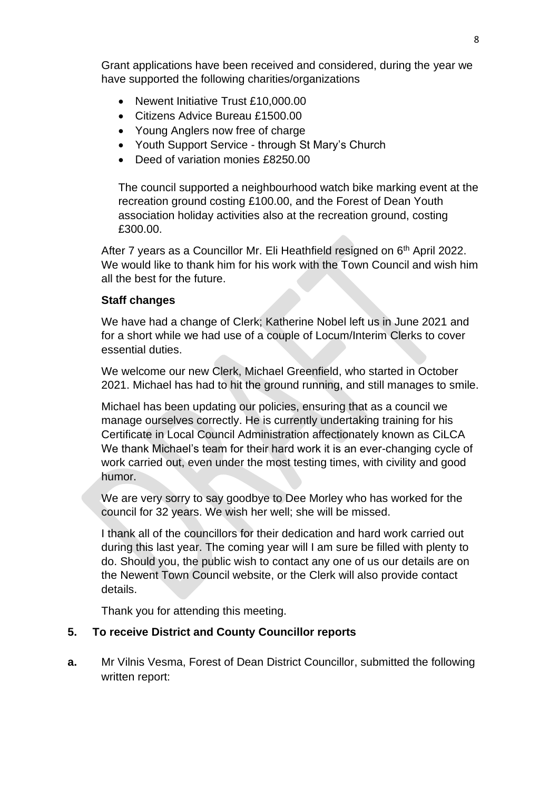Grant applications have been received and considered, during the year we have supported the following charities/organizations

- Newent Initiative Trust £10,000,00
- Citizens Advice Bureau £1500.00
- Young Anglers now free of charge
- Youth Support Service through St Mary's Church
- Deed of variation monies £8250.00

The council supported a neighbourhood watch bike marking event at the recreation ground costing £100.00, and the Forest of Dean Youth association holiday activities also at the recreation ground, costing £300.00.

After 7 years as a Councillor Mr. Eli Heathfield resigned on 6<sup>th</sup> April 2022. We would like to thank him for his work with the Town Council and wish him all the best for the future.

### **Staff changes**

We have had a change of Clerk; Katherine Nobel left us in June 2021 and for a short while we had use of a couple of Locum/Interim Clerks to cover essential duties.

We welcome our new Clerk, Michael Greenfield, who started in October 2021. Michael has had to hit the ground running, and still manages to smile.

Michael has been updating our policies, ensuring that as a council we manage ourselves correctly. He is currently undertaking training for his Certificate in Local Council Administration affectionately known as CiLCA We thank Michael's team for their hard work it is an ever-changing cycle of work carried out, even under the most testing times, with civility and good humor.

We are very sorry to say goodbye to Dee Morley who has worked for the council for 32 years. We wish her well; she will be missed.

I thank all of the councillors for their dedication and hard work carried out during this last year. The coming year will I am sure be filled with plenty to do. Should you, the public wish to contact any one of us our details are on the Newent Town Council website, or the Clerk will also provide contact details.

Thank you for attending this meeting.

# **5. To receive District and County Councillor reports**

**a.** Mr Vilnis Vesma, Forest of Dean District Councillor, submitted the following written report: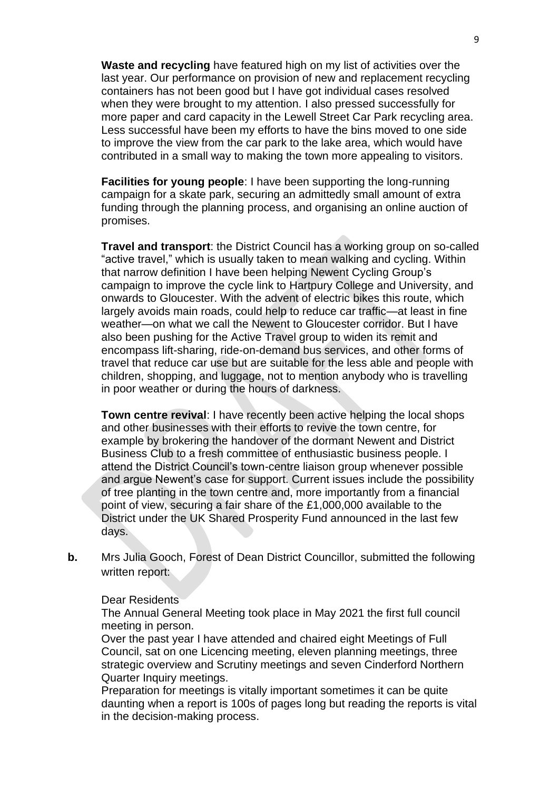**Waste and recycling** have featured high on my list of activities over the last year. Our performance on provision of new and replacement recycling containers has not been good but I have got individual cases resolved when they were brought to my attention. I also pressed successfully for more paper and card capacity in the Lewell Street Car Park recycling area. Less successful have been my efforts to have the bins moved to one side to improve the view from the car park to the lake area, which would have contributed in a small way to making the town more appealing to visitors.

**Facilities for young people**: I have been supporting the long-running campaign for a skate park, securing an admittedly small amount of extra funding through the planning process, and organising an online auction of promises.

**Travel and transport**: the District Council has a working group on so-called "active travel," which is usually taken to mean walking and cycling. Within that narrow definition I have been helping Newent Cycling Group's campaign to improve the cycle link to Hartpury College and University, and onwards to Gloucester. With the advent of electric bikes this route, which largely avoids main roads, could help to reduce car traffic—at least in fine weather—on what we call the Newent to Gloucester corridor. But I have also been pushing for the Active Travel group to widen its remit and encompass lift-sharing, ride-on-demand bus services, and other forms of travel that reduce car use but are suitable for the less able and people with children, shopping, and luggage, not to mention anybody who is travelling in poor weather or during the hours of darkness.

**Town centre revival**: I have recently been active helping the local shops and other businesses with their efforts to revive the town centre, for example by brokering the handover of the dormant Newent and District Business Club to a fresh committee of enthusiastic business people. I attend the District Council's town-centre liaison group whenever possible and argue Newent's case for support. Current issues include the possibility of tree planting in the town centre and, more importantly from a financial point of view, securing a fair share of the £1,000,000 available to the District under the UK Shared Prosperity Fund announced in the last few days.

**b.** Mrs Julia Gooch, Forest of Dean District Councillor, submitted the following written report:

Dear Residents

The Annual General Meeting took place in May 2021 the first full council meeting in person.

Over the past year I have attended and chaired eight Meetings of Full Council, sat on one Licencing meeting, eleven planning meetings, three strategic overview and Scrutiny meetings and seven Cinderford Northern Quarter Inquiry meetings.

Preparation for meetings is vitally important sometimes it can be quite daunting when a report is 100s of pages long but reading the reports is vital in the decision-making process.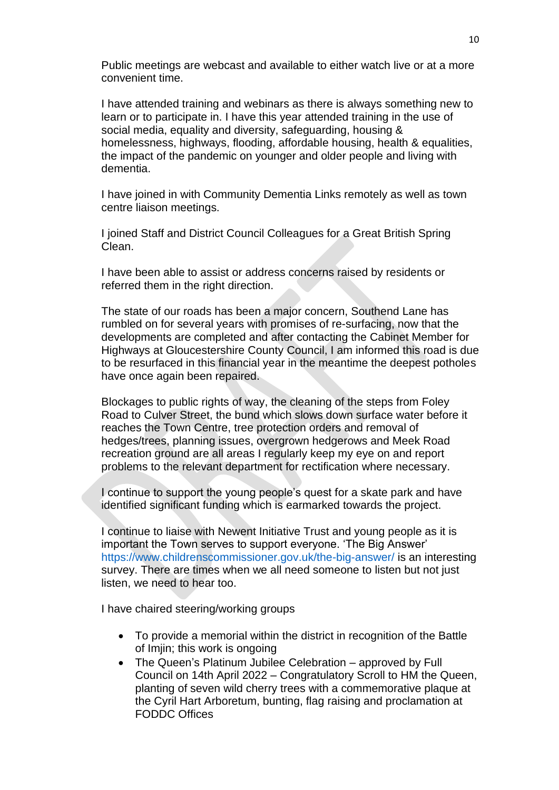Public meetings are webcast and available to either watch live or at a more convenient time.

I have attended training and webinars as there is always something new to learn or to participate in. I have this year attended training in the use of social media, equality and diversity, safeguarding, housing & homelessness, highways, flooding, affordable housing, health & equalities, the impact of the pandemic on younger and older people and living with dementia.

I have joined in with Community Dementia Links remotely as well as town centre liaison meetings.

I joined Staff and District Council Colleagues for a Great British Spring Clean.

I have been able to assist or address concerns raised by residents or referred them in the right direction.

The state of our roads has been a major concern, Southend Lane has rumbled on for several years with promises of re-surfacing, now that the developments are completed and after contacting the Cabinet Member for Highways at Gloucestershire County Council, I am informed this road is due to be resurfaced in this financial year in the meantime the deepest potholes have once again been repaired.

Blockages to public rights of way, the cleaning of the steps from Foley Road to Culver Street, the bund which slows down surface water before it reaches the Town Centre, tree protection orders and removal of hedges/trees, planning issues, overgrown hedgerows and Meek Road recreation ground are all areas I regularly keep my eye on and report problems to the relevant department for rectification where necessary.

I continue to support the young people's quest for a skate park and have identified significant funding which is earmarked towards the project.

I continue to liaise with Newent Initiative Trust and young people as it is important the Town serves to support everyone. 'The Big Answer' https://www.childrenscommissioner.gov.uk/the-big-answer/ is an interesting survey. There are times when we all need someone to listen but not just listen, we need to hear too.

I have chaired steering/working groups

- To provide a memorial within the district in recognition of the Battle of Imjin; this work is ongoing
- The Queen's Platinum Jubilee Celebration approved by Full Council on 14th April 2022 – Congratulatory Scroll to HM the Queen, planting of seven wild cherry trees with a commemorative plaque at the Cyril Hart Arboretum, bunting, flag raising and proclamation at FODDC Offices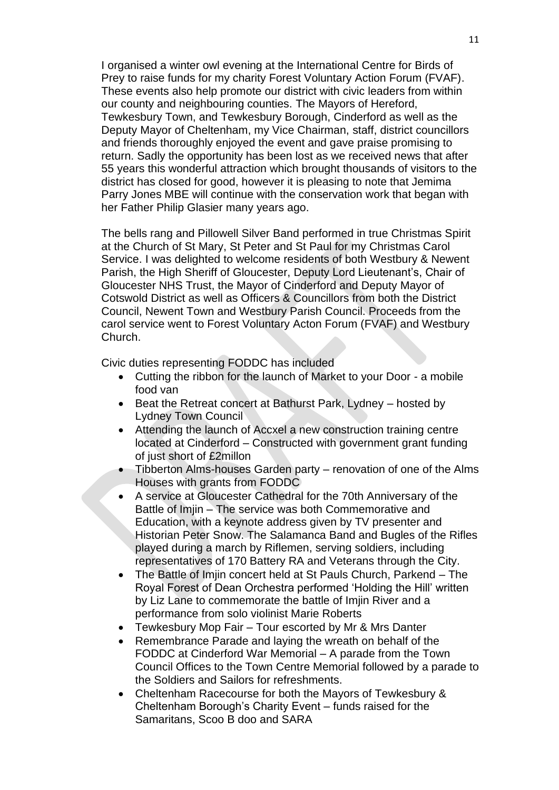I organised a winter owl evening at the International Centre for Birds of Prey to raise funds for my charity Forest Voluntary Action Forum (FVAF). These events also help promote our district with civic leaders from within our county and neighbouring counties. The Mayors of Hereford, Tewkesbury Town, and Tewkesbury Borough, Cinderford as well as the Deputy Mayor of Cheltenham, my Vice Chairman, staff, district councillors and friends thoroughly enjoyed the event and gave praise promising to return. Sadly the opportunity has been lost as we received news that after 55 years this wonderful attraction which brought thousands of visitors to the district has closed for good, however it is pleasing to note that Jemima Parry Jones MBE will continue with the conservation work that began with her Father Philip Glasier many years ago.

The bells rang and Pillowell Silver Band performed in true Christmas Spirit at the Church of St Mary, St Peter and St Paul for my Christmas Carol Service. I was delighted to welcome residents of both Westbury & Newent Parish, the High Sheriff of Gloucester, Deputy Lord Lieutenant's, Chair of Gloucester NHS Trust, the Mayor of Cinderford and Deputy Mayor of Cotswold District as well as Officers & Councillors from both the District Council, Newent Town and Westbury Parish Council. Proceeds from the carol service went to Forest Voluntary Acton Forum (FVAF) and Westbury Church.

Civic duties representing FODDC has included

- Cutting the ribbon for the launch of Market to your Door a mobile food van
- Beat the Retreat concert at Bathurst Park, Lydney hosted by Lydney Town Council
- Attending the launch of Accxel a new construction training centre located at Cinderford – Constructed with government grant funding of just short of £2millon
- Tibberton Alms-houses Garden party renovation of one of the Alms Houses with grants from FODDC
- A service at Gloucester Cathedral for the 70th Anniversary of the Battle of Imjin – The service was both Commemorative and Education, with a keynote address given by TV presenter and Historian Peter Snow. The Salamanca Band and Bugles of the Rifles played during a march by Riflemen, serving soldiers, including representatives of 170 Battery RA and Veterans through the City.
- The Battle of Imjin concert held at St Pauls Church, Parkend The Royal Forest of Dean Orchestra performed 'Holding the Hill' written by Liz Lane to commemorate the battle of Imjin River and a performance from solo violinist Marie Roberts
- Tewkesbury Mop Fair Tour escorted by Mr & Mrs Danter
- Remembrance Parade and laying the wreath on behalf of the FODDC at Cinderford War Memorial – A parade from the Town Council Offices to the Town Centre Memorial followed by a parade to the Soldiers and Sailors for refreshments.
- Cheltenham Racecourse for both the Mayors of Tewkesbury & Cheltenham Borough's Charity Event – funds raised for the Samaritans, Scoo B doo and SARA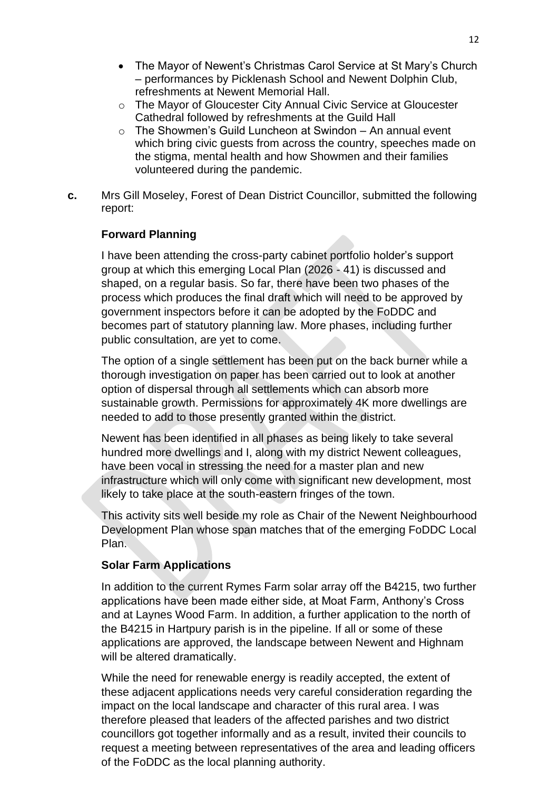- The Mayor of Newent's Christmas Carol Service at St Mary's Church – performances by Picklenash School and Newent Dolphin Club, refreshments at Newent Memorial Hall.
- o The Mayor of Gloucester City Annual Civic Service at Gloucester Cathedral followed by refreshments at the Guild Hall
- $\circ$  The Showmen's Guild Luncheon at Swindon An annual event which bring civic guests from across the country, speeches made on the stigma, mental health and how Showmen and their families volunteered during the pandemic.
- **c.** Mrs Gill Moseley, Forest of Dean District Councillor, submitted the following report:

## **Forward Planning**

I have been attending the cross-party cabinet portfolio holder's support group at which this emerging Local Plan (2026 - 41) is discussed and shaped, on a regular basis. So far, there have been two phases of the process which produces the final draft which will need to be approved by government inspectors before it can be adopted by the FoDDC and becomes part of statutory planning law. More phases, including further public consultation, are yet to come.

The option of a single settlement has been put on the back burner while a thorough investigation on paper has been carried out to look at another option of dispersal through all settlements which can absorb more sustainable growth. Permissions for approximately 4K more dwellings are needed to add to those presently granted within the district.

Newent has been identified in all phases as being likely to take several hundred more dwellings and I, along with my district Newent colleagues, have been vocal in stressing the need for a master plan and new infrastructure which will only come with significant new development, most likely to take place at the south-eastern fringes of the town.

This activity sits well beside my role as Chair of the Newent Neighbourhood Development Plan whose span matches that of the emerging FoDDC Local Plan.

### **Solar Farm Applications**

In addition to the current Rymes Farm solar array off the B4215, two further applications have been made either side, at Moat Farm, Anthony's Cross and at Laynes Wood Farm. In addition, a further application to the north of the B4215 in Hartpury parish is in the pipeline. If all or some of these applications are approved, the landscape between Newent and Highnam will be altered dramatically.

While the need for renewable energy is readily accepted, the extent of these adjacent applications needs very careful consideration regarding the impact on the local landscape and character of this rural area. I was therefore pleased that leaders of the affected parishes and two district councillors got together informally and as a result, invited their councils to request a meeting between representatives of the area and leading officers of the FoDDC as the local planning authority.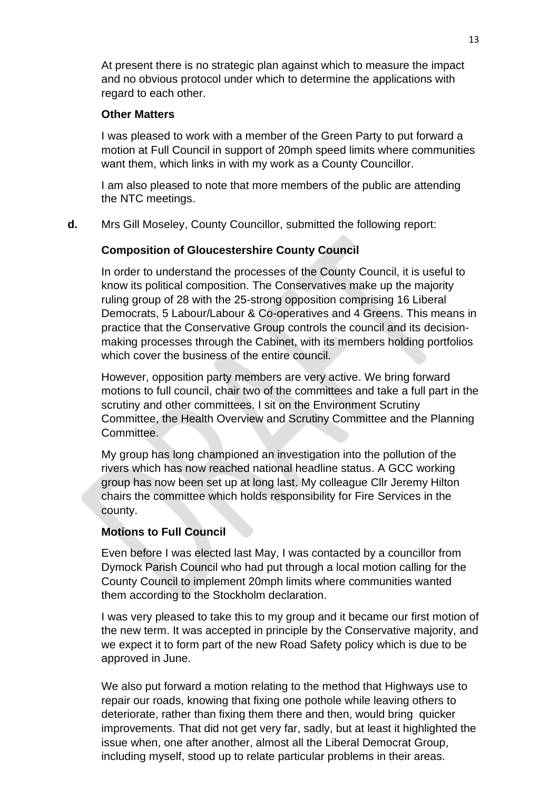At present there is no strategic plan against which to measure the impact and no obvious protocol under which to determine the applications with regard to each other.

#### **Other Matters**

I was pleased to work with a member of the Green Party to put forward a motion at Full Council in support of 20mph speed limits where communities want them, which links in with my work as a County Councillor.

I am also pleased to note that more members of the public are attending the NTC meetings.

**d.** Mrs Gill Moseley, County Councillor, submitted the following report:

## **Composition of Gloucestershire County Council**

In order to understand the processes of the County Council, it is useful to know its political composition. The Conservatives make up the majority ruling group of 28 with the 25-strong opposition comprising 16 Liberal Democrats, 5 Labour/Labour & Co-operatives and 4 Greens. This means in practice that the Conservative Group controls the council and its decisionmaking processes through the Cabinet, with its members holding portfolios which cover the business of the entire council.

However, opposition party members are very active. We bring forward motions to full council, chair two of the committees and take a full part in the scrutiny and other committees. I sit on the Environment Scrutiny Committee, the Health Overview and Scrutiny Committee and the Planning Committee.

My group has long championed an investigation into the pollution of the rivers which has now reached national headline status. A GCC working group has now been set up at long last. My colleague Cllr Jeremy Hilton chairs the committee which holds responsibility for Fire Services in the county.

### **Motions to Full Council**

Even before I was elected last May, I was contacted by a councillor from Dymock Parish Council who had put through a local motion calling for the County Council to implement 20mph limits where communities wanted them according to the Stockholm declaration.

I was very pleased to take this to my group and it became our first motion of the new term. It was accepted in principle by the Conservative majority, and we expect it to form part of the new Road Safety policy which is due to be approved in June.

We also put forward a motion relating to the method that Highways use to repair our roads, knowing that fixing one pothole while leaving others to deteriorate, rather than fixing them there and then, would bring quicker improvements. That did not get very far, sadly, but at least it highlighted the issue when, one after another, almost all the Liberal Democrat Group, including myself, stood up to relate particular problems in their areas.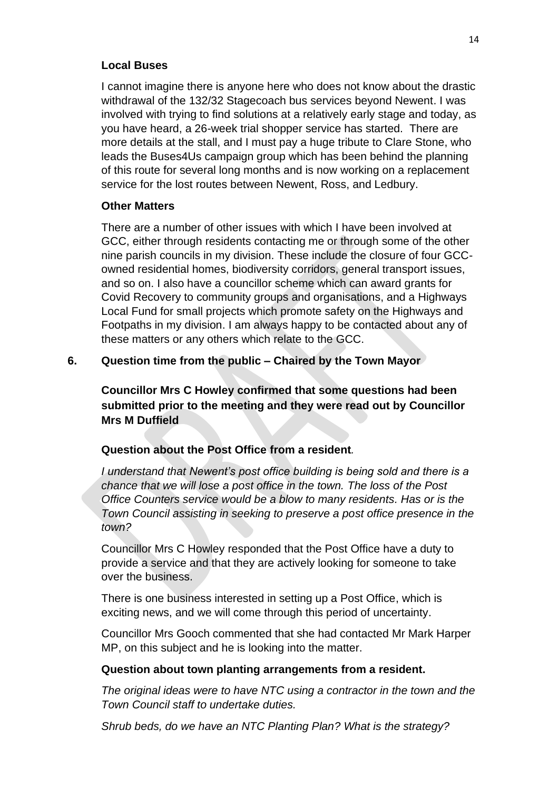#### **Local Buses**

I cannot imagine there is anyone here who does not know about the drastic withdrawal of the 132/32 Stagecoach bus services beyond Newent. I was involved with trying to find solutions at a relatively early stage and today, as you have heard, a 26-week trial shopper service has started. There are more details at the stall, and I must pay a huge tribute to Clare Stone, who leads the Buses4Us campaign group which has been behind the planning of this route for several long months and is now working on a replacement service for the lost routes between Newent, Ross, and Ledbury.

### **Other Matters**

There are a number of other issues with which I have been involved at GCC, either through residents contacting me or through some of the other nine parish councils in my division. These include the closure of four GCCowned residential homes, biodiversity corridors, general transport issues, and so on. I also have a councillor scheme which can award grants for Covid Recovery to community groups and organisations, and a Highways Local Fund for small projects which promote safety on the Highways and Footpaths in my division. I am always happy to be contacted about any of these matters or any others which relate to the GCC.

### **6. Question time from the public – Chaired by the Town Mayor**

**Councillor Mrs C Howley confirmed that some questions had been submitted prior to the meeting and they were read out by Councillor Mrs M Duffield** 

### **Question about the Post Office from a resident***.*

*I understand that Newent's post office building is being sold and there is a chance that we will lose a post office in the town. The loss of the Post Office Counters service would be a blow to many residents. Has or is the Town Council assisting in seeking to preserve a post office presence in the town?* 

Councillor Mrs C Howley responded that the Post Office have a duty to provide a service and that they are actively looking for someone to take over the business.

There is one business interested in setting up a Post Office, which is exciting news, and we will come through this period of uncertainty.

Councillor Mrs Gooch commented that she had contacted Mr Mark Harper MP, on this subject and he is looking into the matter.

#### **Question about town planting arrangements from a resident.**

*The original ideas were to have NTC using a contractor in the town and the Town Council staff to undertake duties.*

*Shrub beds, do we have an NTC Planting Plan? What is the strategy?*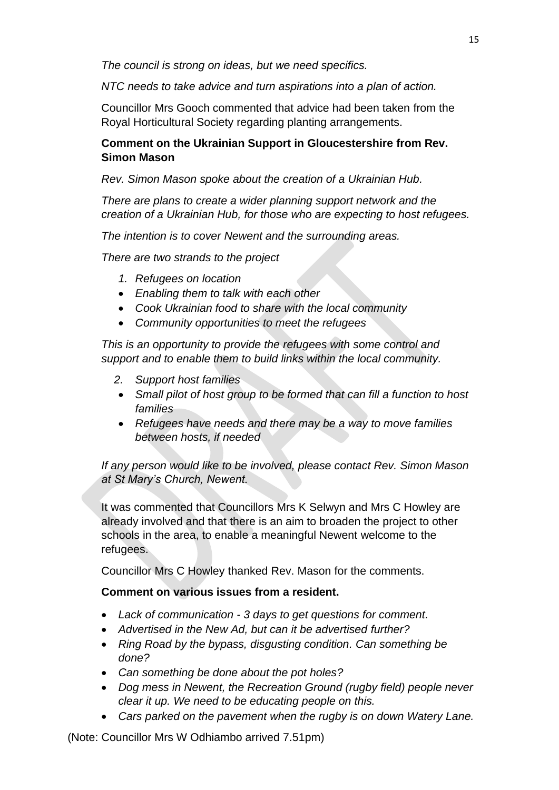*The council is strong on ideas, but we need specifics.*

*NTC needs to take advice and turn aspirations into a plan of action.* 

Councillor Mrs Gooch commented that advice had been taken from the Royal Horticultural Society regarding planting arrangements.

# **Comment on the Ukrainian Support in Gloucestershire from Rev. Simon Mason**

*Rev. Simon Mason spoke about the creation of a Ukrainian Hub.*

*There are plans to create a wider planning support network and the creation of a Ukrainian Hub, for those who are expecting to host refugees.*

*The intention is to cover Newent and the surrounding areas.*

*There are two strands to the project*

- *1. Refugees on location*
- *Enabling them to talk with each other*
- *Cook Ukrainian food to share with the local community*
- *Community opportunities to meet the refugees*

*This is an opportunity to provide the refugees with some control and support and to enable them to build links within the local community.* 

- *2. Support host families*
- *Small pilot of host group to be formed that can fill a function to host families*
- *Refugees have needs and there may be a way to move families between hosts, if needed*

*If any person would like to be involved, please contact Rev. Simon Mason at St Mary's Church, Newent.*

It was commented that Councillors Mrs K Selwyn and Mrs C Howley are already involved and that there is an aim to broaden the project to other schools in the area, to enable a meaningful Newent welcome to the refugees.

Councillor Mrs C Howley thanked Rev. Mason for the comments.

# **Comment on various issues from a resident.**

- *Lack of communication - 3 days to get questions for comment.*
- *Advertised in the New Ad, but can it be advertised further?*
- *Ring Road by the bypass, disgusting condition. Can something be done?*
- *Can something be done about the pot holes?*
- *Dog mess in Newent, the Recreation Ground (rugby field) people never clear it up. We need to be educating people on this.*
- *Cars parked on the pavement when the rugby is on down Watery Lane.*

(Note: Councillor Mrs W Odhiambo arrived 7.51pm)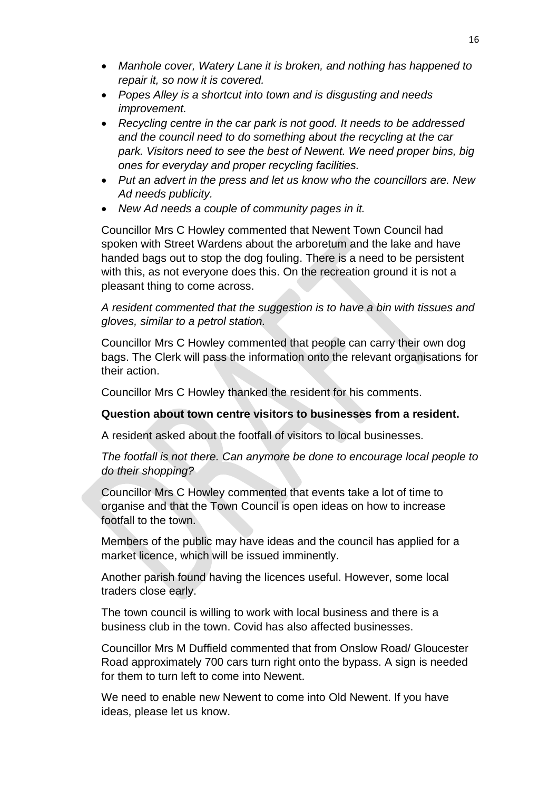- *Manhole cover, Watery Lane it is broken, and nothing has happened to repair it, so now it is covered.*
- *Popes Alley is a shortcut into town and is disgusting and needs improvement.*
- *Recycling centre in the car park is not good. It needs to be addressed and the council need to do something about the recycling at the car*  park. Visitors need to see the best of Newent. We need proper bins, big *ones for everyday and proper recycling facilities.*
- *Put an advert in the press and let us know who the councillors are. New Ad needs publicity.*
- *New Ad needs a couple of community pages in it.*

Councillor Mrs C Howley commented that Newent Town Council had spoken with Street Wardens about the arboretum and the lake and have handed bags out to stop the dog fouling. There is a need to be persistent with this, as not everyone does this. On the recreation ground it is not a pleasant thing to come across.

*A resident commented that the suggestion is to have a bin with tissues and gloves, similar to a petrol station.* 

Councillor Mrs C Howley commented that people can carry their own dog bags. The Clerk will pass the information onto the relevant organisations for their action.

Councillor Mrs C Howley thanked the resident for his comments.

### **Question about town centre visitors to businesses from a resident.**

A resident asked about the footfall of visitors to local businesses.

*The footfall is not there. Can anymore be done to encourage local people to do their shopping?*

Councillor Mrs C Howley commented that events take a lot of time to organise and that the Town Council is open ideas on how to increase footfall to the town.

Members of the public may have ideas and the council has applied for a market licence, which will be issued imminently.

Another parish found having the licences useful. However, some local traders close early.

The town council is willing to work with local business and there is a business club in the town. Covid has also affected businesses.

Councillor Mrs M Duffield commented that from Onslow Road/ Gloucester Road approximately 700 cars turn right onto the bypass. A sign is needed for them to turn left to come into Newent.

We need to enable new Newent to come into Old Newent. If you have ideas, please let us know.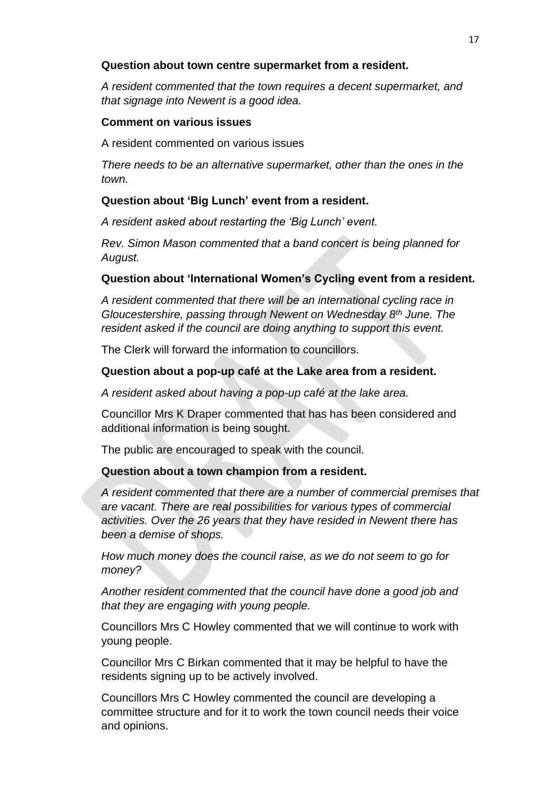## **Question about town centre supermarket from a resident.**

*A resident commented that the town requires a decent supermarket, and that signage into Newent is a good idea.*

## **Comment on various issues**

A resident commented on various issues

*There needs to be an alternative supermarket, other than the ones in the town.*

# **Question about 'Big Lunch' event from a resident.**

*A resident asked about restarting the 'Big Lunch' event.*

*Rev. Simon Mason commented that a band concert is being planned for August.*

# **Question about 'International Women's Cycling event from a resident.**

*A resident commented that there will be an international cycling race in Gloucestershire, passing through Newent on Wednesday 8th June. The resident asked if the council are doing anything to support this event.*

The Clerk will forward the information to councillors.

# **Question about a pop-up café at the Lake area from a resident.**

*A resident asked about having a pop-up café at the lake area.*

Councillor Mrs K Draper commented that has has been considered and additional information is being sought.

The public are encouraged to speak with the council.

# **Question about a town champion from a resident.**

*A resident commented that there are a number of commercial premises that are vacant. There are real possibilities for various types of commercial activities. Over the 26 years that they have resided in Newent there has been a demise of shops.*

*How much money does the council raise, as we do not seem to go for money?*

*Another resident commented that the council have done a good job and that they are engaging with young people.* 

Councillors Mrs C Howley commented that we will continue to work with young people.

Councillor Mrs C Birkan commented that it may be helpful to have the residents signing up to be actively involved.

Councillors Mrs C Howley commented the council are developing a committee structure and for it to work the town council needs their voice and opinions.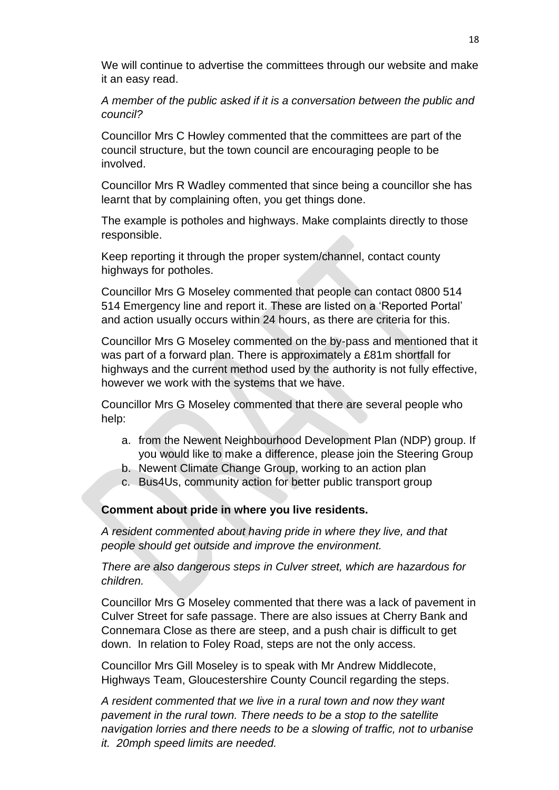We will continue to advertise the committees through our website and make it an easy read.

*A member of the public asked if it is a conversation between the public and council?* 

Councillor Mrs C Howley commented that the committees are part of the council structure, but the town council are encouraging people to be involved.

Councillor Mrs R Wadley commented that since being a councillor she has learnt that by complaining often, you get things done.

The example is potholes and highways. Make complaints directly to those responsible.

Keep reporting it through the proper system/channel, contact county highways for potholes.

Councillor Mrs G Moseley commented that people can contact 0800 514 514 Emergency line and report it. These are listed on a 'Reported Portal' and action usually occurs within 24 hours, as there are criteria for this.

Councillor Mrs G Moseley commented on the by-pass and mentioned that it was part of a forward plan. There is approximately a £81m shortfall for highways and the current method used by the authority is not fully effective, however we work with the systems that we have.

Councillor Mrs G Moseley commented that there are several people who help:

- a. from the Newent Neighbourhood Development Plan (NDP) group. If you would like to make a difference, please join the Steering Group
- b. Newent Climate Change Group, working to an action plan
- c. Bus4Us, community action for better public transport group

**Comment about pride in where you live residents.**

*A resident commented about having pride in where they live, and that people should get outside and improve the environment.*

*There are also dangerous steps in Culver street, which are hazardous for children.*

Councillor Mrs G Moseley commented that there was a lack of pavement in Culver Street for safe passage. There are also issues at Cherry Bank and Connemara Close as there are steep, and a push chair is difficult to get down. In relation to Foley Road, steps are not the only access.

Councillor Mrs Gill Moseley is to speak with Mr Andrew Middlecote, Highways Team, Gloucestershire County Council regarding the steps.

*A resident commented that we live in a rural town and now they want pavement in the rural town. There needs to be a stop to the satellite navigation lorries and there needs to be a slowing of traffic, not to urbanise it. 20mph speed limits are needed.*